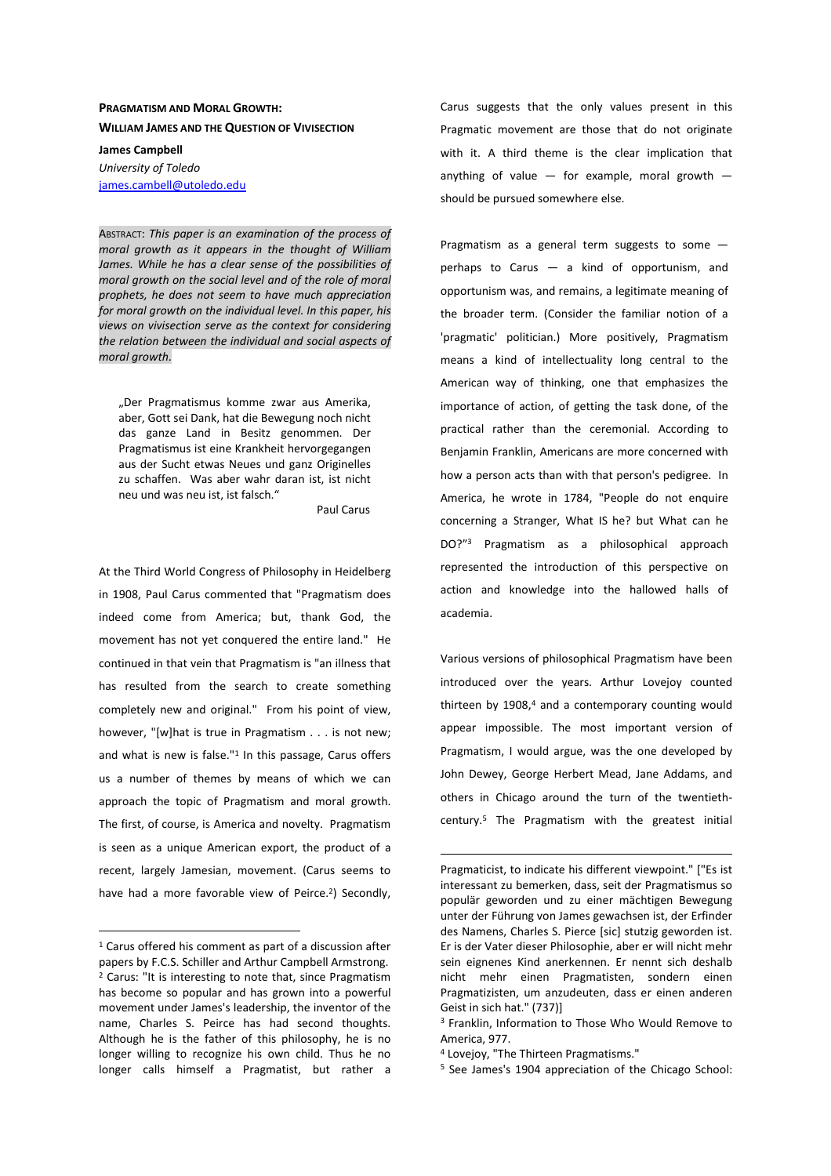## **PRAGMATISM AND MORAL GROWTH: WILLIAM JAMES AND THE QUESTION OF VIVISECTION**

**James Campbell**  *University of Toledo* 

james.cambell@utoledo.edu

ABSTRACT: *This paper is an examination of the process of moral growth as it appears in the thought of William James. While he has a clear sense of the possibilities of moral growth on the social level and of the role of moral prophets, he does not seem to have much appreciation for moral growth on the individual level. In this paper, his views on vivisection serve as the context for considering the relation between the individual and social aspects of moral growth.*

"Der Pragmatismus komme zwar aus Amerika, aber, Gott sei Dank, hat die Bewegung noch nicht das ganze Land in Besitz genommen. Der Pragmatismus ist eine Krankheit hervorgegangen aus der Sucht etwas Neues und ganz Originelles zu schaffen. Was aber wahr daran ist, ist nicht neu und was neu ist, ist falsch."

Paul Carus

At the Third World Congress of Philosophy in Heidelberg in 1908, Paul Carus commented that "Pragmatism does indeed come from America; but, thank God, the movement has not yet conquered the entire land." He continued in that vein that Pragmatism is "an illness that has resulted from the search to create something completely new and original." From his point of view, however, "[w]hat is true in Pragmatism . . . is not new; and what is new is false."<sup>1</sup> In this passage, Carus offers us a number of themes by means of which we can approach the topic of Pragmatism and moral growth. The first, of course, is America and novelty. Pragmatism is seen as a unique American export, the product of a recent, largely Jamesian, movement. (Carus seems to have had a more favorable view of Peirce.<sup>2</sup>) Secondly,

 $\overline{a}$ 

Carus suggests that the only values present in this Pragmatic movement are those that do not originate with it. A third theme is the clear implication that anything of value  $-$  for example, moral growth  $$ should be pursued somewhere else.

Pragmatism as a general term suggests to some perhaps to Carus — a kind of opportunism, and opportunism was, and remains, a legitimate meaning of the broader term. (Consider the familiar notion of a 'pragmatic' politician.) More positively, Pragmatism means a kind of intellectuality long central to the American way of thinking, one that emphasizes the importance of action, of getting the task done, of the practical rather than the ceremonial. According to Benjamin Franklin, Americans are more concerned with how a person acts than with that person's pedigree. In America, he wrote in 1784, "People do not enquire concerning a Stranger, What IS he? but What can he DO?"<sup>3</sup> Pragmatism as a philosophical approach represented the introduction of this perspective on action and knowledge into the hallowed halls of academia.

Various versions of philosophical Pragmatism have been introduced over the years. Arthur Lovejoy counted thirteen by 1908,<sup>4</sup> and a contemporary counting would appear impossible. The most important version of Pragmatism, I would argue, was the one developed by John Dewey, George Herbert Mead, Jane Addams, and others in Chicago around the turn of the twentiethcentury.<sup>5</sup> The Pragmatism with the greatest initial

4 Lovejoy, "The Thirteen Pragmatisms."

 $\overline{a}$ 

<sup>1</sup> Carus offered his comment as part of a discussion after papers by F.C.S. Schiller and Arthur Campbell Armstrong. 2 Carus: "It is interesting to note that, since Pragmatism has become so popular and has grown into a powerful movement under James's leadership, the inventor of the name, Charles S. Peirce has had second thoughts. Although he is the father of this philosophy, he is no longer willing to recognize his own child. Thus he no longer calls himself a Pragmatist, but rather a

Pragmaticist, to indicate his different viewpoint." ["Es ist interessant zu bemerken, dass, seit der Pragmatismus so populär geworden und zu einer mächtigen Bewegung unter der Führung von James gewachsen ist, der Erfinder des Namens, Charles S. Pierce [sic] stutzig geworden ist. Er is der Vater dieser Philosophie, aber er will nicht mehr sein eignenes Kind anerkennen. Er nennt sich deshalb nicht mehr einen Pragmatisten, sondern einen Pragmatizisten, um anzudeuten, dass er einen anderen Geist in sich hat." (737)]

<sup>3</sup> Franklin, Information to Those Who Would Remove to America, 977.

<sup>5</sup> See James's 1904 appreciation of the Chicago School: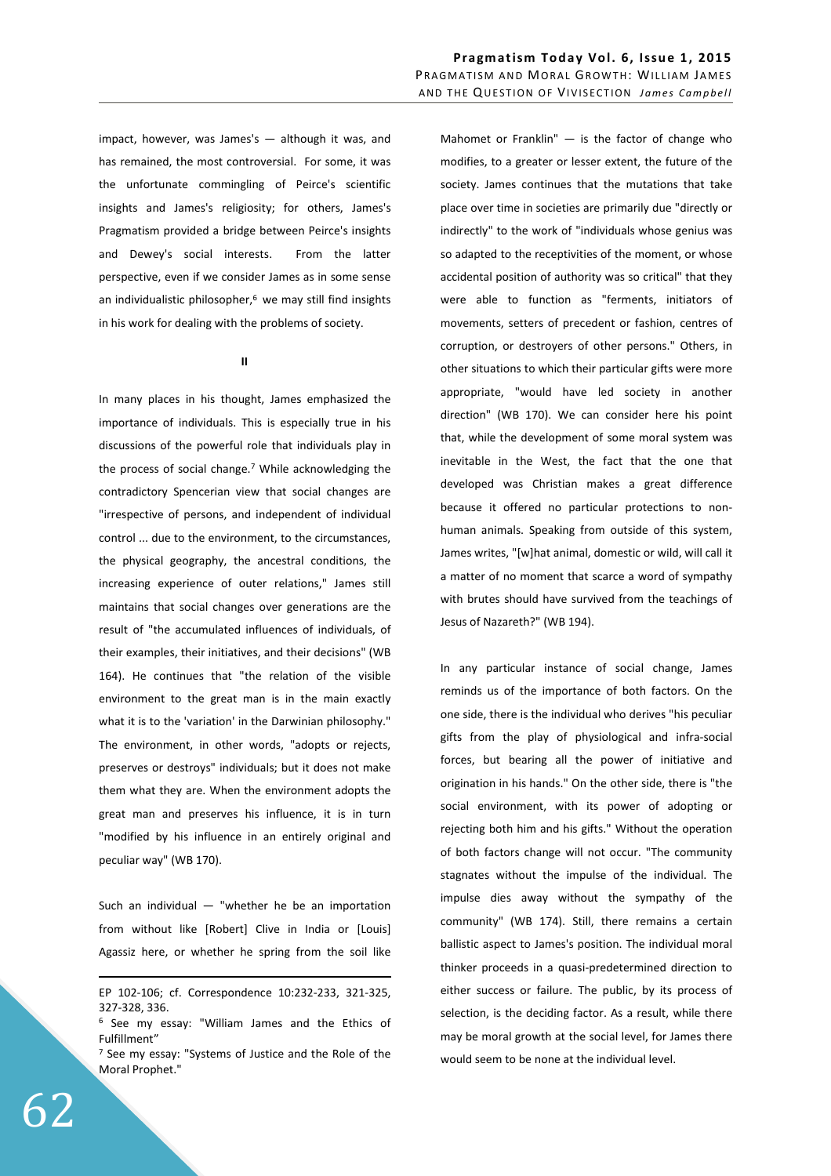impact, however, was James's — although it was, and has remained, the most controversial. For some, it was the unfortunate commingling of Peirce's scientific insights and James's religiosity; for others, James's Pragmatism provided a bridge between Peirce's insights and Dewey's social interests. From the latter perspective, even if we consider James as in some sense an individualistic philosopher. $6$  we may still find insights in his work for dealing with the problems of society.

**II** 

In many places in his thought, James emphasized the importance of individuals. This is especially true in his discussions of the powerful role that individuals play in the process of social change.<sup>7</sup> While acknowledging the contradictory Spencerian view that social changes are "irrespective of persons, and independent of individual control ... due to the environment, to the circumstances, the physical geography, the ancestral conditions, the increasing experience of outer relations," James still maintains that social changes over generations are the result of "the accumulated influences of individuals, of their examples, their initiatives, and their decisions" (WB 164). He continues that "the relation of the visible environment to the great man is in the main exactly what it is to the 'variation' in the Darwinian philosophy." The environment, in other words, "adopts or rejects, preserves or destroys" individuals; but it does not make them what they are. When the environment adopts the great man and preserves his influence, it is in turn "modified by his influence in an entirely original and peculiar way" (WB 170).

Such an individual  $-$  "whether he be an importation from without like [Robert] Clive in India or [Louis] Agassiz here, or whether he spring from the soil like

Mahomet or Franklin"  $-$  is the factor of change who modifies, to a greater or lesser extent, the future of the society. James continues that the mutations that take place over time in societies are primarily due "directly or indirectly" to the work of "individuals whose genius was so adapted to the receptivities of the moment, or whose accidental position of authority was so critical" that they were able to function as "ferments, initiators of movements, setters of precedent or fashion, centres of corruption, or destroyers of other persons." Others, in other situations to which their particular gifts were more appropriate, "would have led society in another direction" (WB 170). We can consider here his point that, while the development of some moral system was inevitable in the West, the fact that the one that developed was Christian makes a great difference because it offered no particular protections to nonhuman animals. Speaking from outside of this system, James writes, "[w]hat animal, domestic or wild, will call it a matter of no moment that scarce a word of sympathy with brutes should have survived from the teachings of Jesus of Nazareth?" (WB 194).

In any particular instance of social change, James reminds us of the importance of both factors. On the one side, there is the individual who derives "his peculiar gifts from the play of physiological and infra-social forces, but bearing all the power of initiative and origination in his hands." On the other side, there is "the social environment, with its power of adopting or rejecting both him and his gifts." Without the operation of both factors change will not occur. "The community stagnates without the impulse of the individual. The impulse dies away without the sympathy of the community" (WB 174). Still, there remains a certain ballistic aspect to James's position. The individual moral thinker proceeds in a quasi-predetermined direction to either success or failure. The public, by its process of selection, is the deciding factor. As a result, while there may be moral growth at the social level, for James there would seem to be none at the individual level.

<u>.</u>

EP 102-106; cf. Correspondence 10:232-233, 321-325, 327-328, 336.

<sup>&</sup>lt;sup>6</sup> See my essay: "William James and the Ethics of Fulfillment"

<sup>&</sup>lt;sup>7</sup> See my essay: "Systems of Justice and the Role of the Moral Prophet."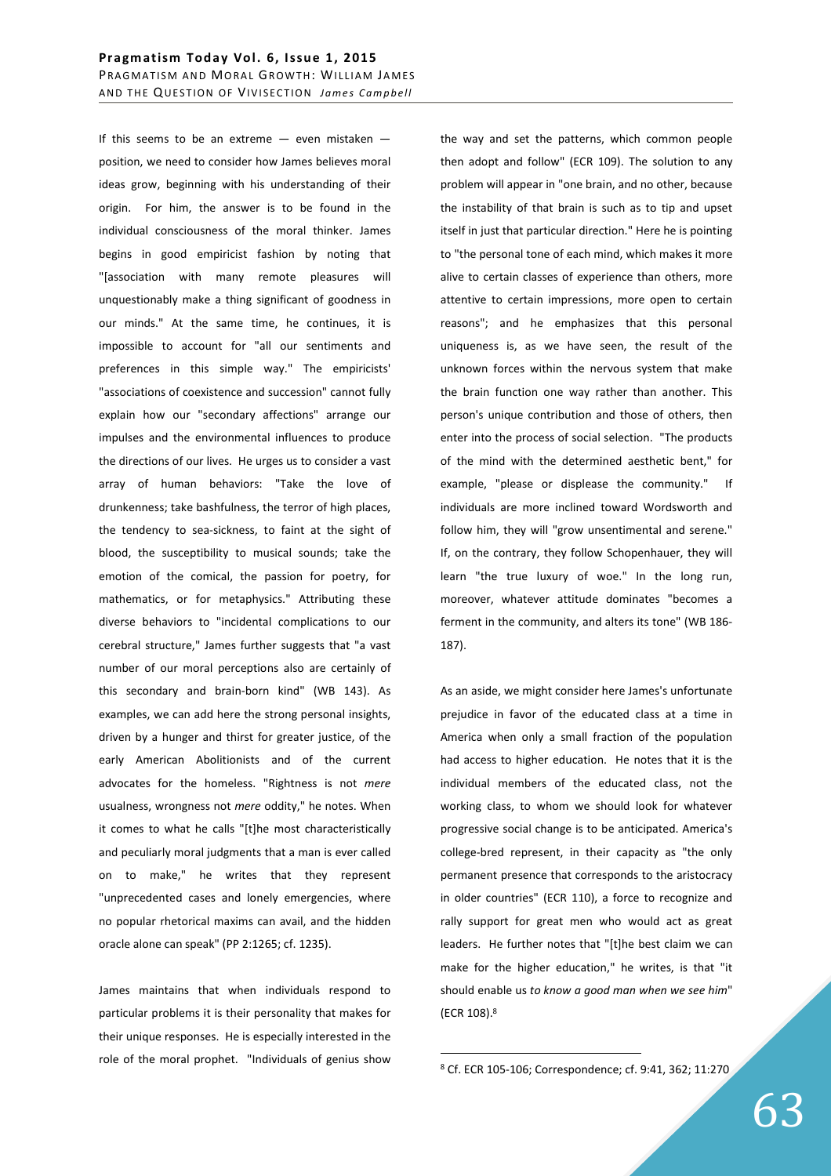If this seems to be an extreme  $-$  even mistaken  $$ position, we need to consider how James believes moral ideas grow, beginning with his understanding of their origin. For him, the answer is to be found in the individual consciousness of the moral thinker. James begins in good empiricist fashion by noting that "[association with many remote pleasures will unquestionably make a thing significant of goodness in our minds." At the same time, he continues, it is impossible to account for "all our sentiments and preferences in this simple way." The empiricists' "associations of coexistence and succession" cannot fully explain how our "secondary affections" arrange our impulses and the environmental influences to produce the directions of our lives. He urges us to consider a vast array of human behaviors: "Take the love of drunkenness; take bashfulness, the terror of high places, the tendency to sea-sickness, to faint at the sight of blood, the susceptibility to musical sounds; take the emotion of the comical, the passion for poetry, for mathematics, or for metaphysics." Attributing these diverse behaviors to "incidental complications to our cerebral structure," James further suggests that "a vast number of our moral perceptions also are certainly of this secondary and brain-born kind" (WB 143). As examples, we can add here the strong personal insights, driven by a hunger and thirst for greater justice, of the early American Abolitionists and of the current advocates for the homeless. "Rightness is not *mere* usualness, wrongness not *mere* oddity," he notes. When it comes to what he calls "[t]he most characteristically and peculiarly moral judgments that a man is ever called on to make," he writes that they represent "unprecedented cases and lonely emergencies, where no popular rhetorical maxims can avail, and the hidden oracle alone can speak" (PP 2:1265; cf. 1235).

James maintains that when individuals respond to particular problems it is their personality that makes for their unique responses. He is especially interested in the role of the moral prophet. "Individuals of genius show the way and set the patterns, which common people then adopt and follow" (ECR 109). The solution to any problem will appear in "one brain, and no other, because the instability of that brain is such as to tip and upset itself in just that particular direction." Here he is pointing to "the personal tone of each mind, which makes it more alive to certain classes of experience than others, more attentive to certain impressions, more open to certain reasons"; and he emphasizes that this personal uniqueness is, as we have seen, the result of the unknown forces within the nervous system that make the brain function one way rather than another. This person's unique contribution and those of others, then enter into the process of social selection. "The products of the mind with the determined aesthetic bent," for example, "please or displease the community." If individuals are more inclined toward Wordsworth and follow him, they will "grow unsentimental and serene." If, on the contrary, they follow Schopenhauer, they will learn "the true luxury of woe." In the long run, moreover, whatever attitude dominates "becomes a ferment in the community, and alters its tone" (WB 186- 187).

As an aside, we might consider here James's unfortunate prejudice in favor of the educated class at a time in America when only a small fraction of the population had access to higher education. He notes that it is the individual members of the educated class, not the working class, to whom we should look for whatever progressive social change is to be anticipated. America's college-bred represent, in their capacity as "the only permanent presence that corresponds to the aristocracy in older countries" (ECR 110), a force to recognize and rally support for great men who would act as great leaders. He further notes that "[t]he best claim we can make for the higher education," he writes, is that "it should enable us *to know a good man when we see him*" (ECR 108).<sup>8</sup>

 $\overline{a}$ 

<sup>8</sup> Cf. ECR 105-106; Correspondence; cf. 9:41, 362; 11:270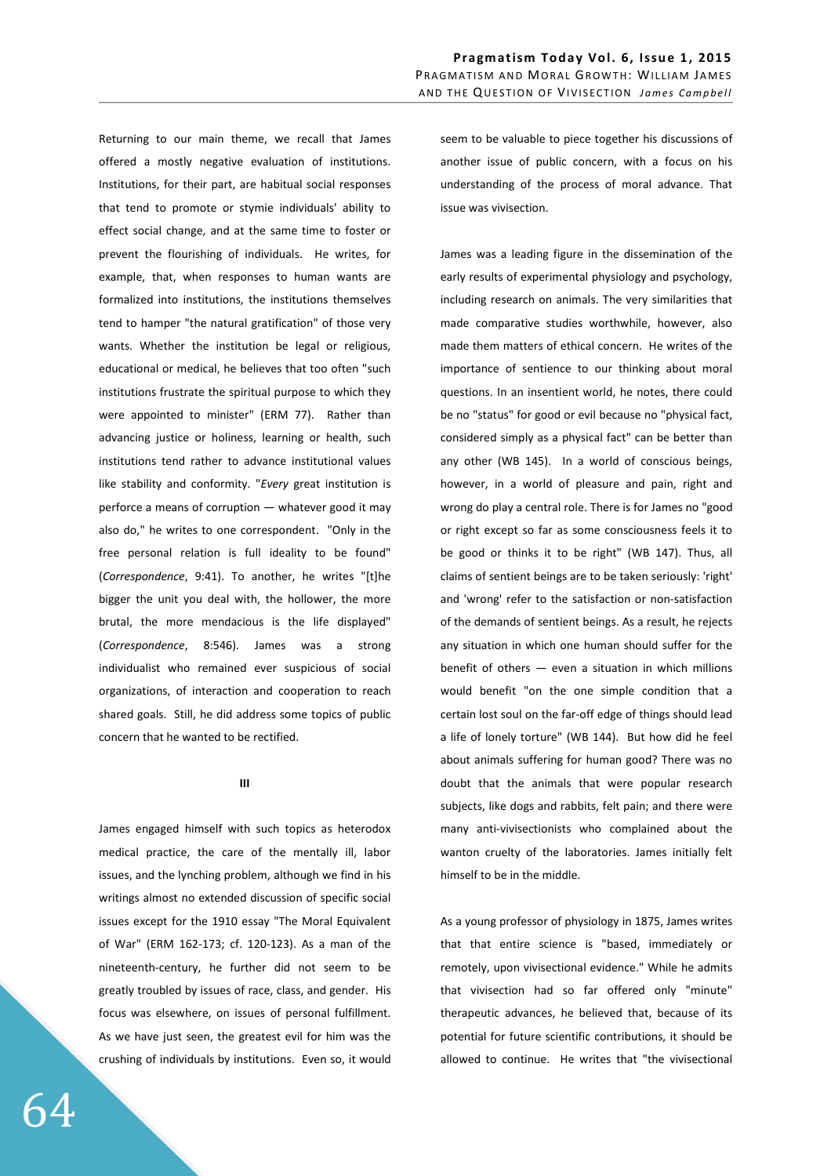Returning to our main theme, we recall that James offered a mostly negative evaluation of institutions. Institutions, for their part, are habitual social responses that tend to promote or stymie individuals' ability to effect social change, and at the same time to foster or prevent the flourishing of individuals. He writes, for example, that, when responses to human wants are formalized into institutions, the institutions themselves tend to hamper "the natural gratification" of those very wants. Whether the institution be legal or religious, educational or medical, he believes that too often "such institutions frustrate the spiritual purpose to which they were appointed to minister" (ERM 77). Rather than advancing justice or holiness, learning or health, such institutions tend rather to advance institutional values like stability and conformity. "*Every* great institution is perforce a means of corruption — whatever good it may also do," he writes to one correspondent. "Only in the free personal relation is full ideality to be found" (*Correspondence*, 9:41). To another, he writes "[t]he bigger the unit you deal with, the hollower, the more brutal, the more mendacious is the life displayed" (*Correspondence*, 8:546). James was a strong individualist who remained ever suspicious of social organizations, of interaction and cooperation to reach shared goals. Still, he did address some topics of public concern that he wanted to be rectified.

## **III**

James engaged himself with such topics as heterodox medical practice, the care of the mentally ill, labor issues, and the lynching problem, although we find in his writings almost no extended discussion of specific social issues except for the 1910 essay "The Moral Equivalent of War" (ERM 162-173; cf. 120-123). As a man of the nineteenth-century, he further did not seem to be greatly troubled by issues of race, class, and gender. His focus was elsewhere, on issues of personal fulfillment. As we have just seen, the greatest evil for him was the crushing of individuals by institutions. Even so, it would seem to be valuable to piece together his discussions of another issue of public concern, with a focus on his understanding of the process of moral advance. That issue was vivisection.

James was a leading figure in the dissemination of the early results of experimental physiology and psychology, including research on animals. The very similarities that made comparative studies worthwhile, however, also made them matters of ethical concern. He writes of the importance of sentience to our thinking about moral questions. In an insentient world, he notes, there could be no "status" for good or evil because no "physical fact, considered simply as a physical fact" can be better than any other (WB 145). In a world of conscious beings, however, in a world of pleasure and pain, right and wrong do play a central role. There is for James no "good or right except so far as some consciousness feels it to be good or thinks it to be right" (WB 147). Thus, all claims of sentient beings are to be taken seriously: 'right' and 'wrong' refer to the satisfaction or non-satisfaction of the demands of sentient beings. As a result, he rejects any situation in which one human should suffer for the benefit of others  $-$  even a situation in which millions would benefit "on the one simple condition that a certain lost soul on the far-off edge of things should lead a life of lonely torture" (WB 144). But how did he feel about animals suffering for human good? There was no doubt that the animals that were popular research subjects, like dogs and rabbits, felt pain; and there were many anti-vivisectionists who complained about the wanton cruelty of the laboratories. James initially felt himself to be in the middle.

As a young professor of physiology in 1875, James writes that that entire science is "based, immediately or remotely, upon vivisectional evidence." While he admits that vivisection had so far offered only "minute" therapeutic advances, he believed that, because of its potential for future scientific contributions, it should be allowed to continue. He writes that "the vivisectional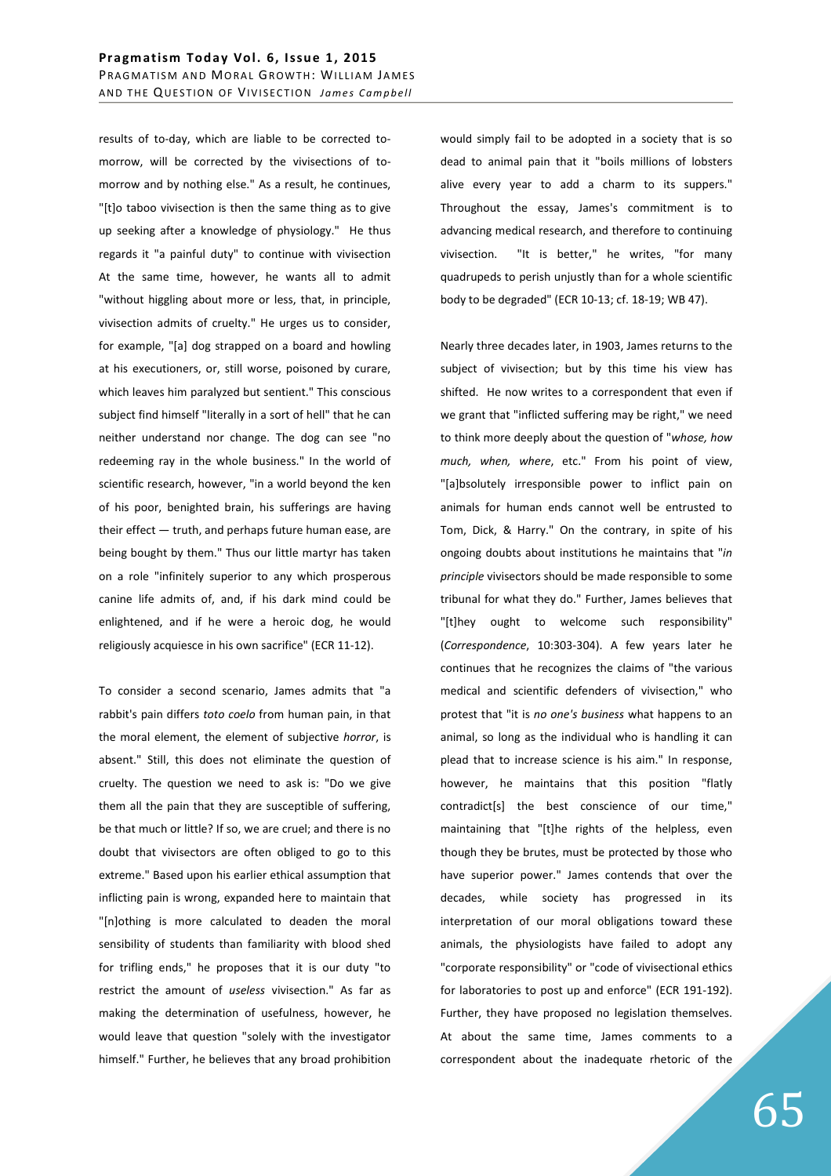results of to-day, which are liable to be corrected tomorrow, will be corrected by the vivisections of tomorrow and by nothing else." As a result, he continues, "[t]o taboo vivisection is then the same thing as to give up seeking after a knowledge of physiology." He thus regards it "a painful duty" to continue with vivisection At the same time, however, he wants all to admit "without higgling about more or less, that, in principle, vivisection admits of cruelty." He urges us to consider, for example, "[a] dog strapped on a board and howling at his executioners, or, still worse, poisoned by curare, which leaves him paralyzed but sentient." This conscious subject find himself "literally in a sort of hell" that he can neither understand nor change. The dog can see "no redeeming ray in the whole business." In the world of scientific research, however, "in a world beyond the ken of his poor, benighted brain, his sufferings are having their effect — truth, and perhaps future human ease, are being bought by them." Thus our little martyr has taken on a role "infinitely superior to any which prosperous canine life admits of, and, if his dark mind could be enlightened, and if he were a heroic dog, he would religiously acquiesce in his own sacrifice" (ECR 11-12).

To consider a second scenario, James admits that "a rabbit's pain differs *toto coelo* from human pain, in that the moral element, the element of subjective *horror*, is absent." Still, this does not eliminate the question of cruelty. The question we need to ask is: "Do we give them all the pain that they are susceptible of suffering, be that much or little? If so, we are cruel; and there is no doubt that vivisectors are often obliged to go to this extreme." Based upon his earlier ethical assumption that inflicting pain is wrong, expanded here to maintain that "[n]othing is more calculated to deaden the moral sensibility of students than familiarity with blood shed for trifling ends," he proposes that it is our duty "to restrict the amount of *useless* vivisection." As far as making the determination of usefulness, however, he would leave that question "solely with the investigator himself." Further, he believes that any broad prohibition would simply fail to be adopted in a society that is so dead to animal pain that it "boils millions of lobsters alive every year to add a charm to its suppers." Throughout the essay, James's commitment is to advancing medical research, and therefore to continuing vivisection. "It is better," he writes, "for many quadrupeds to perish unjustly than for a whole scientific body to be degraded" (ECR 10-13; cf. 18-19; WB 47).

Nearly three decades later, in 1903, James returns to the subject of vivisection; but by this time his view has shifted. He now writes to a correspondent that even if we grant that "inflicted suffering may be right," we need to think more deeply about the question of "*whose, how much, when, where*, etc." From his point of view, "[a]bsolutely irresponsible power to inflict pain on animals for human ends cannot well be entrusted to Tom, Dick, & Harry." On the contrary, in spite of his ongoing doubts about institutions he maintains that "*in principle* vivisectors should be made responsible to some tribunal for what they do." Further, James believes that "[t]hey ought to welcome such responsibility" (*Correspondence*, 10:303-304). A few years later he continues that he recognizes the claims of "the various medical and scientific defenders of vivisection," who protest that "it is *no one's business* what happens to an animal, so long as the individual who is handling it can plead that to increase science is his aim." In response, however, he maintains that this position "flatly contradict[s] the best conscience of our time," maintaining that "[t]he rights of the helpless, even though they be brutes, must be protected by those who have superior power." James contends that over the decades, while society has progressed in its interpretation of our moral obligations toward these animals, the physiologists have failed to adopt any "corporate responsibility" or "code of vivisectional ethics for laboratories to post up and enforce" (ECR 191-192). Further, they have proposed no legislation themselves. At about the same time, James comments to a correspondent about the inadequate rhetoric of the